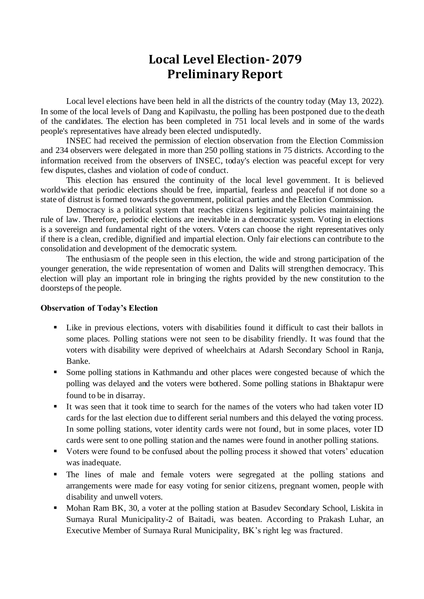## **Local Level Election- 2079 Preliminary Report**

Local level elections have been held in all the districts of the country today (May 13, 2022). In some of the local levels of Dang and Kapilvastu, the polling has been postponed due to the death of the candidates. The election has been completed in 751 local levels and in some of the wards people's representatives have already been elected undisputedly.

INSEC had received the permission of election observation from the Election Commission and 234 observers were delegated in more than 250 polling stations in 75 districts. According to the information received from the observers of INSEC, today's election was peaceful except for very few disputes, clashes and violation of code of conduct.

This election has ensured the continuity of the local level government. It is believed worldwide that periodic elections should be free, impartial, fearless and peaceful if not done so a state of distrust is formed towards the government, political parties and the Election Commission.

Democracy is a political system that reaches citizens legitimately policies maintaining the rule of law. Therefore, periodic elections are inevitable in a democratic system. Voting in elections is a sovereign and fundamental right of the voters. Voters can choose the right representatives only if there is a clean, credible, dignified and impartial election. Only fair elections can contribute to the consolidation and development of the democratic system.

The enthusiasm of the people seen in this election, the wide and strong participation of the younger generation, the wide representation of women and Dalits will strengthen democracy. This election will play an important role in bringing the rights provided by the new constitution to the doorsteps of the people.

## **Observation of Today's Election**

- Like in previous elections, voters with disabilities found it difficult to cast their ballots in some places. Polling stations were not seen to be disability friendly. It was found that the voters with disability were deprived of wheelchairs at Adarsh Secondary School in Ranja, Banke.
- Some polling stations in Kathmandu and other places were congested because of which the polling was delayed and the voters were bothered. Some polling stations in Bhaktapur were found to be in disarray.
- It was seen that it took time to search for the names of the voters who had taken voter ID cards for the last election due to different serial numbers and this delayed the voting process. In some polling stations, voter identity cards were not found, but in some places, voter ID cards were sent to one polling station and the names were found in another polling stations.
- Voters were found to be confused about the polling process it showed that voters' education was inadequate.
- The lines of male and female voters were segregated at the polling stations and arrangements were made for easy voting for senior citizens, pregnant women, people with disability and unwell voters.
- Mohan Ram BK, 30, a voter at the polling station at Basudev Secondary School, Liskita in Surnaya Rural Municipality-2 of Baitadi, was beaten. According to Prakash Luhar, an Executive Member of Surnaya Rural Municipality, BK's right leg was fractured.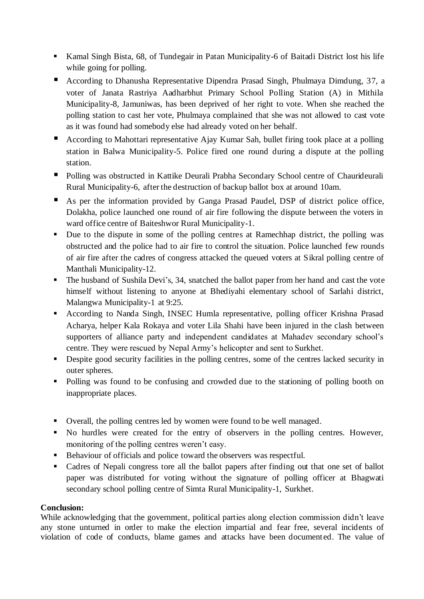- Kamal Singh Bista, 68, of Tundegair in Patan Municipality-6 of Baitadi District lost his life while going for polling.
- According to Dhanusha Representative Dipendra Prasad Singh, Phulmaya Dimdung, 37, a voter of Janata Rastriya Aadharbhut Primary School Polling Station (A) in Mithila Municipality-8, Jamuniwas, has been deprived of her right to vote. When she reached the polling station to cast her vote, Phulmaya complained that she was not allowed to cast vote as it was found had somebody else had already voted on her behalf.
- According to Mahottari representative Ajay Kumar Sah, bullet firing took place at a polling station in Balwa Municipality-5. Police fired one round during a dispute at the polling station.
- Polling was obstructed in Kattike Deurali Prabha Secondary School centre of Chaurideurali Rural Municipality-6, after the destruction of backup ballot box at around 10am.
- As per the information provided by Ganga Prasad Paudel, DSP of district police office, Dolakha, police launched one round of air fire following the dispute between the voters in ward office centre of Baiteshwor Rural Municipality-1.
- Due to the dispute in some of the polling centres at Ramechhap district, the polling was obstructed and the police had to air fire to control the situation. Police launched few rounds of air fire after the cadres of congress attacked the queued voters at Sikral polling centre of Manthali Municipality-12.
- The husband of Sushila Devi's, 34, snatched the ballot paper from her hand and cast the vote himself without listening to anyone at Bhediyahi elementary school of Sarlahi district, Malangwa Municipality-1 at 9:25.
- According to Nanda Singh, INSEC Humla representative, polling officer Krishna Prasad Acharya, helper Kala Rokaya and voter Lila Shahi have been injured in the clash between supporters of alliance party and independent candidates at Mahadev secondary school's centre. They were rescued by Nepal Army's helicopter and sent to Surkhet.
- Despite good security facilities in the polling centres, some of the centres lacked security in outer spheres.
- Polling was found to be confusing and crowded due to the stationing of polling booth on inappropriate places.
- Overall, the polling centres led by women were found to be well managed.
- No hurdles were created for the entry of observers in the polling centres. However, monitoring of the polling centres weren't easy.
- Behaviour of officials and police toward the observers was respectful.
- Cadres of Nepali congress tore all the ballot papers after finding out that one set of ballot paper was distributed for voting without the signature of polling officer at Bhagwati secondary school polling centre of Simta Rural Municipality-1, Surkhet.

## **Conclusion:**

While acknowledging that the government, political parties along election commission didn't leave any stone unturned in order to make the election impartial and fear free, several incidents of violation of code of conducts, blame games and attacks have been documented. The value of